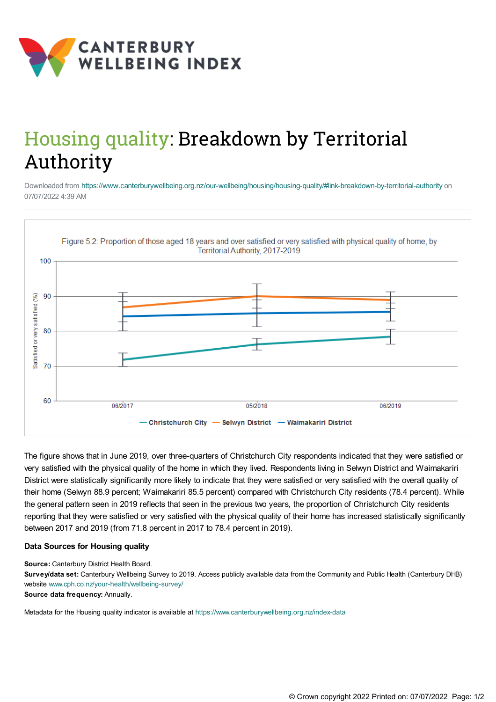

## Housing quality: Breakdown by Territorial Authority

Downloaded from <https://www.canterburywellbeing.org.nz/our-wellbeing/housing/housing-quality/#link-breakdown-by-territorial-authority> on 07/07/2022 4:39 AM



The figure shows that in June 2019, over three-quarters of Christchurch City respondents indicated that they were satisfied or very satisfied with the physical quality of the home in which they lived. Respondents living in Selwyn District and Waimakariri District were statistically significantly more likely to indicate that they were satisfied or very satisfied with the overall quality of their home (Selwyn 88.9 percent; Waimakariri 85.5 percent) compared with Christchurch City residents (78.4 percent). While the general pattern seen in 2019 reflects that seen in the previous two years, the proportion of Christchurch City residents reporting that they were satisfied or very satisfied with the physical quality of their home has increased statistically significantly between 2017 and 2019 (from 71.8 percent in 2017 to 78.4 percent in 2019).

## **Data Sources for Housing quality**

**Source:** Canterbury District Health Board.

**Survey/data set:** Canterbury Wellbeing Survey to 2019. Access publicly available data from the Community and Public Health (Canterbury DHB) website [www.cph.co.nz/your-health/wellbeing-survey/](https://www.cph.co.nz/your-health/wellbeing-survey/)

**Source data frequency:** Annually.

Metadata for the Housing quality indicator is available at [https://www.canterburywellbeing.org.nz/index-data](https://www.canterburywellbeing.org.nz/site-information/index-data)